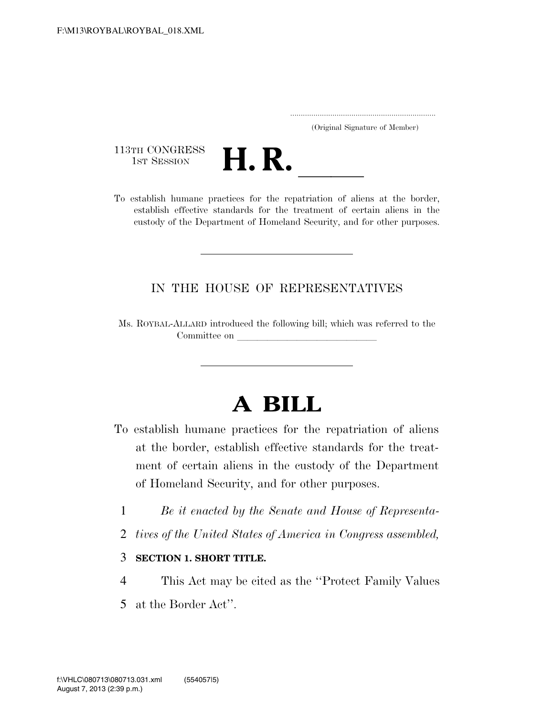..................................................................... (Original Signature of Member)

113TH CONGRESS<br>1st Session



establish effective standards for the treatment of certain aliens in the custody of the Department of Homeland Security, and for other purposes.

## IN THE HOUSE OF REPRESENTATIVES

Ms. ROYBAL-ALLARD introduced the following bill; which was referred to the Committee on

# **A BILL**

- To establish humane practices for the repatriation of aliens at the border, establish effective standards for the treatment of certain aliens in the custody of the Department of Homeland Security, and for other purposes.
	- 1 *Be it enacted by the Senate and House of Representa-*
	- 2 *tives of the United States of America in Congress assembled,*

## 3 **SECTION 1. SHORT TITLE.**

4 This Act may be cited as the ''Protect Family Values 5 at the Border Act''.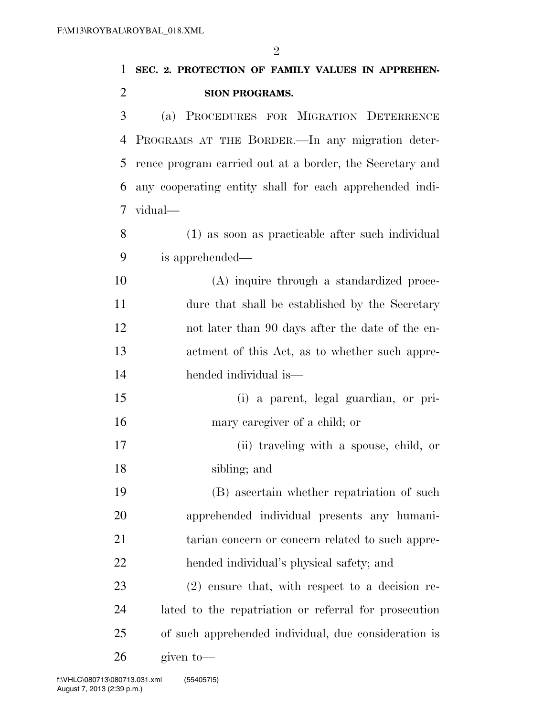| 1              | SEC. 2. PROTECTION OF FAMILY VALUES IN APPREHEN-         |
|----------------|----------------------------------------------------------|
| $\overline{2}$ | SION PROGRAMS.                                           |
| 3              | PROCEDURES FOR MIGRATION DETERRENCE<br>(a)               |
| 4              | PROGRAMS AT THE BORDER.—In any migration deter-          |
| 5              | rence program carried out at a border, the Secretary and |
| 6              | any cooperating entity shall for each apprehended indi-  |
| 7              | vidual—                                                  |
| 8              | (1) as soon as practicable after such individual         |
| 9              | is apprehended—                                          |
| 10             | (A) inquire through a standardized proce-                |
| 11             | dure that shall be established by the Secretary          |
| 12             | not later than 90 days after the date of the en-         |
| 13             | actment of this Act, as to whether such appre-           |
| 14             | hended individual is—                                    |
| 15             | (i) a parent, legal guardian, or pri-                    |
| 16             | mary caregiver of a child; or                            |
| 17             | (ii) traveling with a spouse, child, or                  |
| 18             | sibling; and                                             |
| 19             | (B) ascertain whether repatriation of such               |
| 20             | apprehended individual presents any humani-              |
| 21             | tarian concern or concern related to such appre-         |
| 22             | hended individual's physical safety; and                 |
| 23             | $(2)$ ensure that, with respect to a decision re-        |
| 24             | lated to the repatriation or referral for prosecution    |
| 25             | of such apprehended individual, due consideration is     |
| 26             | given to-                                                |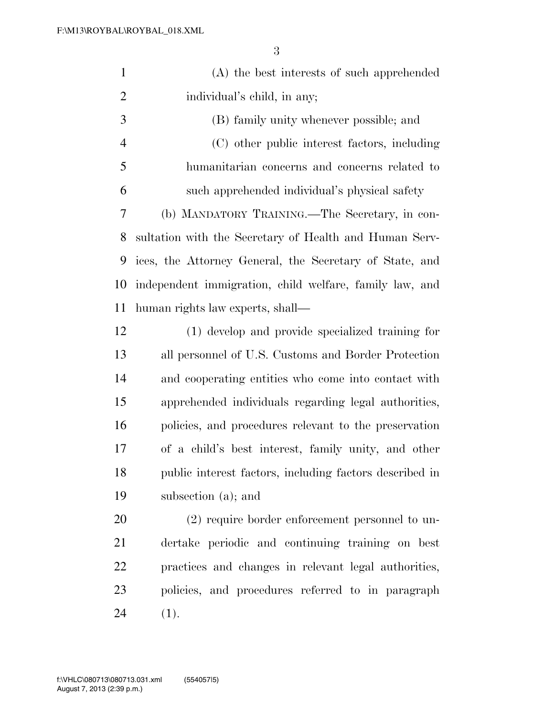| $\mathbf{1}$   | (A) the best interests of such apprehended              |
|----------------|---------------------------------------------------------|
| $\overline{2}$ | individual's child, in any;                             |
| 3              | (B) family unity whenever possible; and                 |
| $\overline{4}$ | (C) other public interest factors, including            |
| 5              | humanitarian concerns and concerns related to           |
| 6              | such apprehended individual's physical safety           |
| 7              | (b) MANDATORY TRAINING.—The Secretary, in con-          |
| 8              | sultation with the Secretary of Health and Human Serv-  |
| 9              | ices, the Attorney General, the Secretary of State, and |
| 10             | independent immigration, child welfare, family law, and |
| 11             | human rights law experts, shall—                        |
| 12             | (1) develop and provide specialized training for        |
| 13             | all personnel of U.S. Customs and Border Protection     |
| 14             | and cooperating entities who come into contact with     |
| 15             | apprehended individuals regarding legal authorities,    |
| 16             | policies, and procedures relevant to the preservation   |
| 17             | of a child's best interest, family unity, and other     |
| 18             | public interest factors, including factors described in |
| 19             | subsection (a); and                                     |
| 20             | $(2)$ require border enforcement personnel to un-       |
| 21             | dertake periodic and continuing training on best        |
| 22             | practices and changes in relevant legal authorities,    |
| 23             | policies, and procedures referred to in paragraph       |
| 24             | (1).                                                    |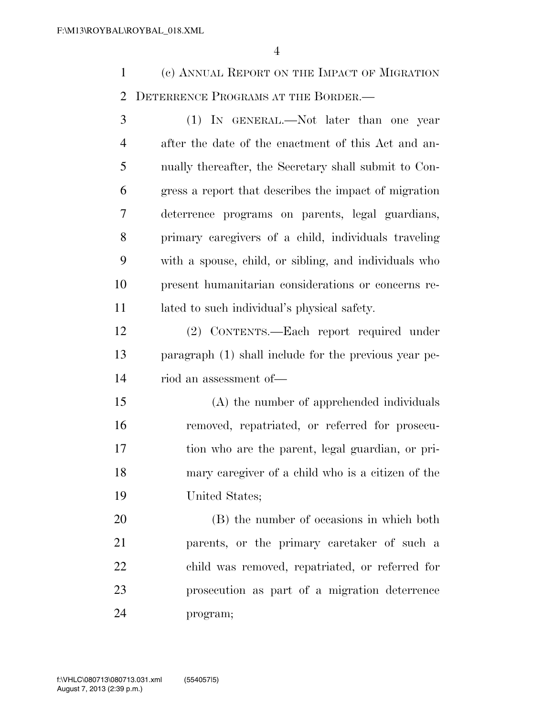(c) ANNUAL REPORT ON THE IMPACT OF MIGRATION 2 DETERRENCE PROGRAMS AT THE BORDER.

 (1) IN GENERAL.—Not later than one year after the date of the enactment of this Act and an- nually thereafter, the Secretary shall submit to Con- gress a report that describes the impact of migration deterrence programs on parents, legal guardians, primary caregivers of a child, individuals traveling with a spouse, child, or sibling, and individuals who present humanitarian considerations or concerns re-lated to such individual's physical safety.

 (2) CONTENTS.—Each report required under paragraph (1) shall include for the previous year pe-riod an assessment of—

 (A) the number of apprehended individuals removed, repatriated, or referred for prosecu- tion who are the parent, legal guardian, or pri- mary caregiver of a child who is a citizen of the United States;

 (B) the number of occasions in which both parents, or the primary caretaker of such a child was removed, repatriated, or referred for prosecution as part of a migration deterrence program;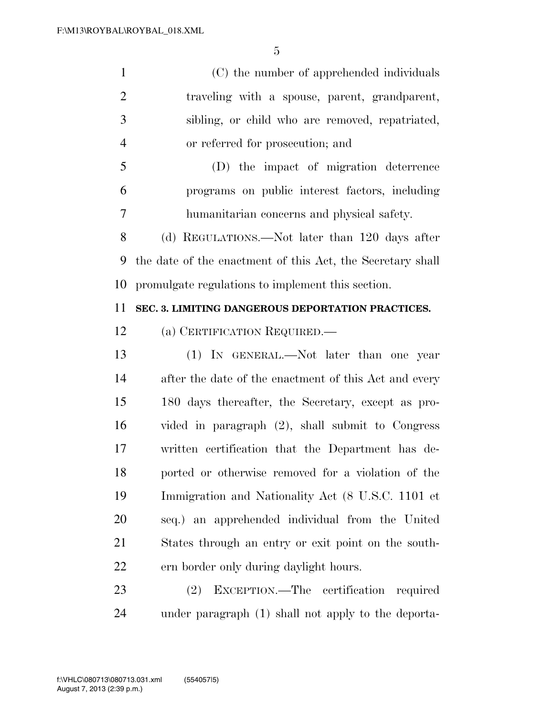(C) the number of apprehended individuals traveling with a spouse, parent, grandparent, sibling, or child who are removed, repatriated, or referred for prosecution; and

 (D) the impact of migration deterrence programs on public interest factors, including humanitarian concerns and physical safety.

 (d) REGULATIONS.—Not later than 120 days after the date of the enactment of this Act, the Secretary shall promulgate regulations to implement this section.

### **SEC. 3. LIMITING DANGEROUS DEPORTATION PRACTICES.**

(a) CERTIFICATION REQUIRED.—

 (1) IN GENERAL.—Not later than one year after the date of the enactment of this Act and every 180 days thereafter, the Secretary, except as pro- vided in paragraph (2), shall submit to Congress written certification that the Department has de- ported or otherwise removed for a violation of the Immigration and Nationality Act (8 U.S.C. 1101 et seq.) an apprehended individual from the United States through an entry or exit point on the south-ern border only during daylight hours.

 (2) EXCEPTION.—The certification required under paragraph (1) shall not apply to the deporta-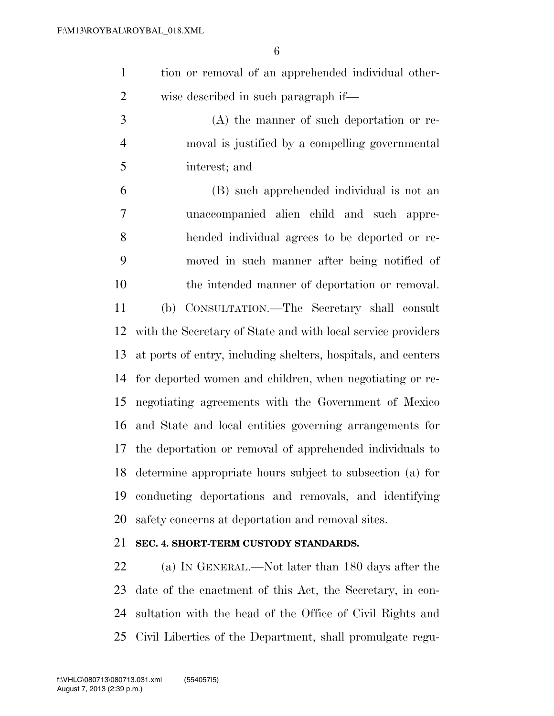- tion or removal of an apprehended individual other-wise described in such paragraph if—
- (A) the manner of such deportation or re- moval is justified by a compelling governmental interest; and

 (B) such apprehended individual is not an unaccompanied alien child and such appre- hended individual agrees to be deported or re- moved in such manner after being notified of the intended manner of deportation or removal. (b) CONSULTATION.—The Secretary shall consult with the Secretary of State and with local service providers at ports of entry, including shelters, hospitals, and centers for deported women and children, when negotiating or re- negotiating agreements with the Government of Mexico and State and local entities governing arrangements for the deportation or removal of apprehended individuals to determine appropriate hours subject to subsection (a) for conducting deportations and removals, and identifying safety concerns at deportation and removal sites.

### **SEC. 4. SHORT-TERM CUSTODY STANDARDS.**

 (a) IN GENERAL.—Not later than 180 days after the date of the enactment of this Act, the Secretary, in con- sultation with the head of the Office of Civil Rights and Civil Liberties of the Department, shall promulgate regu-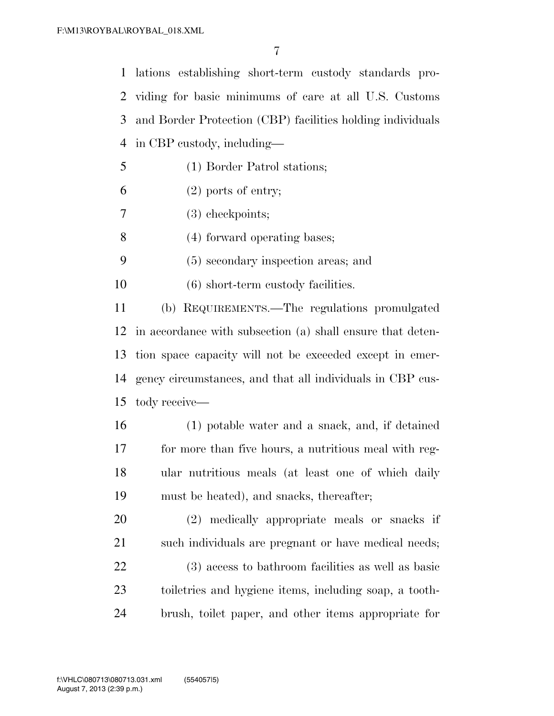lations establishing short-term custody standards pro- viding for basic minimums of care at all U.S. Customs and Border Protection (CBP) facilities holding individuals in CBP custody, including— (1) Border Patrol stations;  $6 \t(2)$  ports of entry; (3) checkpoints; (4) forward operating bases; (5) secondary inspection areas; and (6) short-term custody facilities. (b) REQUIREMENTS.—The regulations promulgated in accordance with subsection (a) shall ensure that deten- tion space capacity will not be exceeded except in emer- gency circumstances, and that all individuals in CBP cus- tody receive— (1) potable water and a snack, and, if detained for more than five hours, a nutritious meal with reg- ular nutritious meals (at least one of which daily must be heated), and snacks, thereafter;

 (2) medically appropriate meals or snacks if 21 such individuals are pregnant or have medical needs; (3) access to bathroom facilities as well as basic toiletries and hygiene items, including soap, a tooth-brush, toilet paper, and other items appropriate for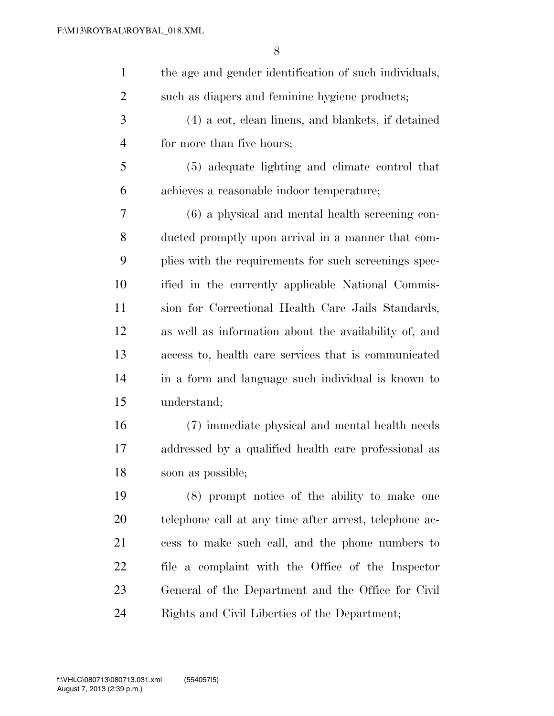| $\mathbf{1}$   | the age and gender identification of such individuals, |
|----------------|--------------------------------------------------------|
| $\overline{c}$ | such as diapers and feminine hygiene products;         |
| 3              | (4) a cot, clean linens, and blankets, if detained     |
| $\overline{4}$ | for more than five hours;                              |
| 5              | (5) adequate lighting and climate control that         |
| 6              | achieves a reasonable indoor temperature;              |
| 7              | (6) a physical and mental health screening con-        |
| 8              | ducted promptly upon arrival in a manner that com-     |
| 9              | plies with the requirements for such screenings spec-  |
| 10             | ified in the currently applicable National Commis-     |
| 11             | sion for Correctional Health Care Jails Standards,     |
| 12             | as well as information about the availability of, and  |
| 13             | access to, health care services that is communicated   |
| 14             | in a form and language such individual is known to     |
| 15             | understand;                                            |
| 16             | (7) immediate physical and mental health needs         |
| 17             | addressed by a qualified health care professional as   |
| 18             | soon as possible;                                      |
| 19             | (8) prompt notice of the ability to make one           |
| 20             | telephone call at any time after arrest, telephone ac- |
| 21             | cess to make such call, and the phone numbers to       |
| 22             | file a complaint with the Office of the Inspector      |
| 23             | General of the Department and the Office for Civil     |
| 24             | Rights and Civil Liberties of the Department;          |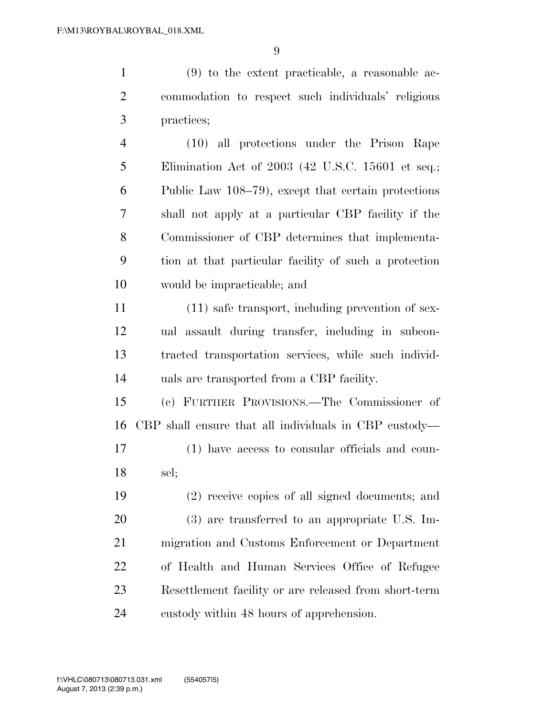(9) to the extent practicable, a reasonable ac- commodation to respect such individuals' religious practices;

 (10) all protections under the Prison Rape Elimination Act of 2003 (42 U.S.C. 15601 et seq.; Public Law 108–79), except that certain protections shall not apply at a particular CBP facility if the Commissioner of CBP determines that implementa- tion at that particular facility of such a protection would be impracticable; and

 (11) safe transport, including prevention of sex- ual assault during transfer, including in subcon- tracted transportation services, while such individ-uals are transported from a CBP facility.

 (c) FURTHER PROVISIONS.—The Commissioner of CBP shall ensure that all individuals in CBP custody— (1) have access to consular officials and coun-

sel;

 (2) receive copies of all signed documents; and (3) are transferred to an appropriate U.S. Im- migration and Customs Enforcement or Department of Health and Human Services Office of Refugee Resettlement facility or are released from short-term custody within 48 hours of apprehension.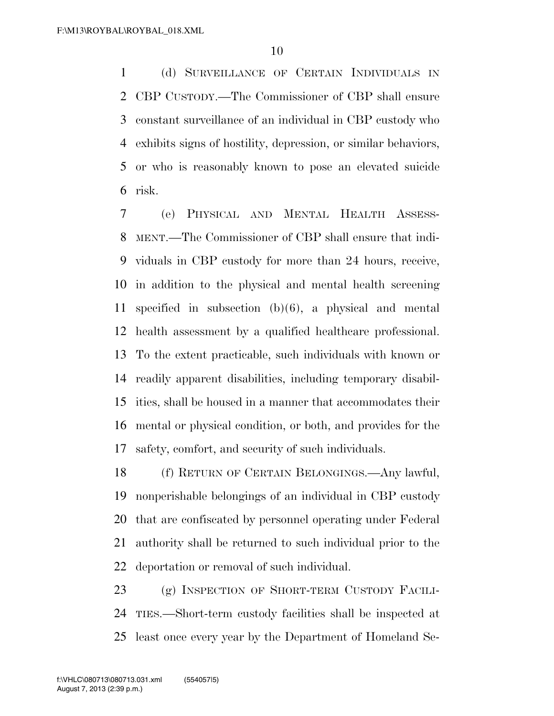(d) SURVEILLANCE OF CERTAIN INDIVIDUALS IN CBP CUSTODY.—The Commissioner of CBP shall ensure constant surveillance of an individual in CBP custody who exhibits signs of hostility, depression, or similar behaviors, or who is reasonably known to pose an elevated suicide risk.

 (e) PHYSICAL AND MENTAL HEALTH ASSESS- MENT.—The Commissioner of CBP shall ensure that indi- viduals in CBP custody for more than 24 hours, receive, in addition to the physical and mental health screening specified in subsection (b)(6), a physical and mental health assessment by a qualified healthcare professional. To the extent practicable, such individuals with known or readily apparent disabilities, including temporary disabil- ities, shall be housed in a manner that accommodates their mental or physical condition, or both, and provides for the safety, comfort, and security of such individuals.

 (f) RETURN OF CERTAIN BELONGINGS.—Any lawful, nonperishable belongings of an individual in CBP custody that are confiscated by personnel operating under Federal authority shall be returned to such individual prior to the deportation or removal of such individual.

 (g) INSPECTION OF SHORT-TERM CUSTODY FACILI- TIES.—Short-term custody facilities shall be inspected at least once every year by the Department of Homeland Se-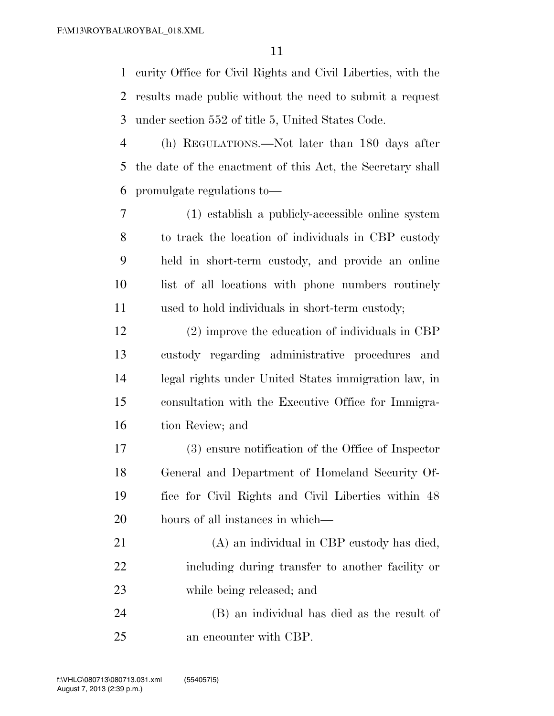curity Office for Civil Rights and Civil Liberties, with the results made public without the need to submit a request under section 552 of title 5, United States Code.

 (h) REGULATIONS.—Not later than 180 days after the date of the enactment of this Act, the Secretary shall promulgate regulations to—

 (1) establish a publicly-accessible online system to track the location of individuals in CBP custody held in short-term custody, and provide an online list of all locations with phone numbers routinely used to hold individuals in short-term custody;

 (2) improve the education of individuals in CBP custody regarding administrative procedures and legal rights under United States immigration law, in consultation with the Executive Office for Immigra-tion Review; and

 (3) ensure notification of the Office of Inspector General and Department of Homeland Security Of- fice for Civil Rights and Civil Liberties within 48 hours of all instances in which—

 (A) an individual in CBP custody has died, including during transfer to another facility or while being released; and

 (B) an individual has died as the result of an encounter with CBP.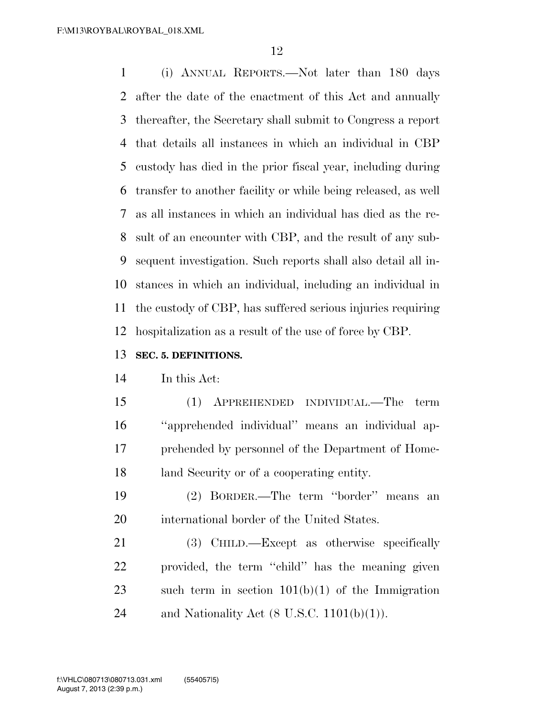(i) ANNUAL REPORTS.—Not later than 180 days after the date of the enactment of this Act and annually thereafter, the Secretary shall submit to Congress a report that details all instances in which an individual in CBP custody has died in the prior fiscal year, including during transfer to another facility or while being released, as well as all instances in which an individual has died as the re- sult of an encounter with CBP, and the result of any sub- sequent investigation. Such reports shall also detail all in- stances in which an individual, including an individual in the custody of CBP, has suffered serious injuries requiring hospitalization as a result of the use of force by CBP.

### **SEC. 5. DEFINITIONS.**

#### In this Act:

 (1) APPREHENDED INDIVIDUAL.—The term ''apprehended individual'' means an individual ap- prehended by personnel of the Department of Home-land Security or of a cooperating entity.

 (2) BORDER.—The term ''border'' means an international border of the United States.

21 (3) CHILD.—Except as otherwise specifically provided, the term ''child'' has the meaning given such term in section 101(b)(1) of the Immigration 24 and Nationality Act  $(8 \text{ U.S.C. } 1101(b)(1))$ .